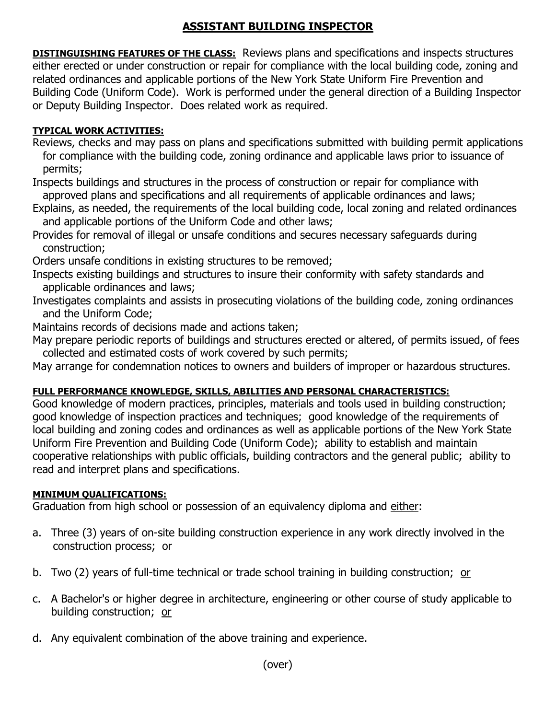# **ASSISTANT BUILDING INSPECTOR**

**DISTINGUISHING FEATURES OF THE CLASS:** Reviews plans and specifications and inspects structures either erected or under construction or repair for compliance with the local building code, zoning and related ordinances and applicable portions of the New York State Uniform Fire Prevention and Building Code (Uniform Code). Work is performed under the general direction of a Building Inspector or Deputy Building Inspector. Does related work as required.

#### **TYPICAL WORK ACTIVITIES:**

Reviews, checks and may pass on plans and specifications submitted with building permit applications for compliance with the building code, zoning ordinance and applicable laws prior to issuance of permits;

Inspects buildings and structures in the process of construction or repair for compliance with approved plans and specifications and all requirements of applicable ordinances and laws;

Explains, as needed, the requirements of the local building code, local zoning and related ordinances and applicable portions of the Uniform Code and other laws;

Provides for removal of illegal or unsafe conditions and secures necessary safeguards during construction;

Orders unsafe conditions in existing structures to be removed;

- Inspects existing buildings and structures to insure their conformity with safety standards and applicable ordinances and laws;
- Investigates complaints and assists in prosecuting violations of the building code, zoning ordinances and the Uniform Code;
- Maintains records of decisions made and actions taken;

May prepare periodic reports of buildings and structures erected or altered, of permits issued, of fees collected and estimated costs of work covered by such permits;

May arrange for condemnation notices to owners and builders of improper or hazardous structures.

## **FULL PERFORMANCE KNOWLEDGE, SKILLS, ABILITIES AND PERSONAL CHARACTERISTICS:**

Good knowledge of modern practices, principles, materials and tools used in building construction; good knowledge of inspection practices and techniques; good knowledge of the requirements of local building and zoning codes and ordinances as well as applicable portions of the New York State Uniform Fire Prevention and Building Code (Uniform Code); ability to establish and maintain cooperative relationships with public officials, building contractors and the general public; ability to read and interpret plans and specifications.

## **MINIMUM QUALIFICATIONS:**

Graduation from high school or possession of an equivalency diploma and either:

- a. Three (3) years of on-site building construction experience in any work directly involved in the construction process; or
- b. Two (2) years of full-time technical or trade school training in building construction; or
- c. A Bachelor's or higher degree in architecture, engineering or other course of study applicable to building construction; or
- d. Any equivalent combination of the above training and experience.